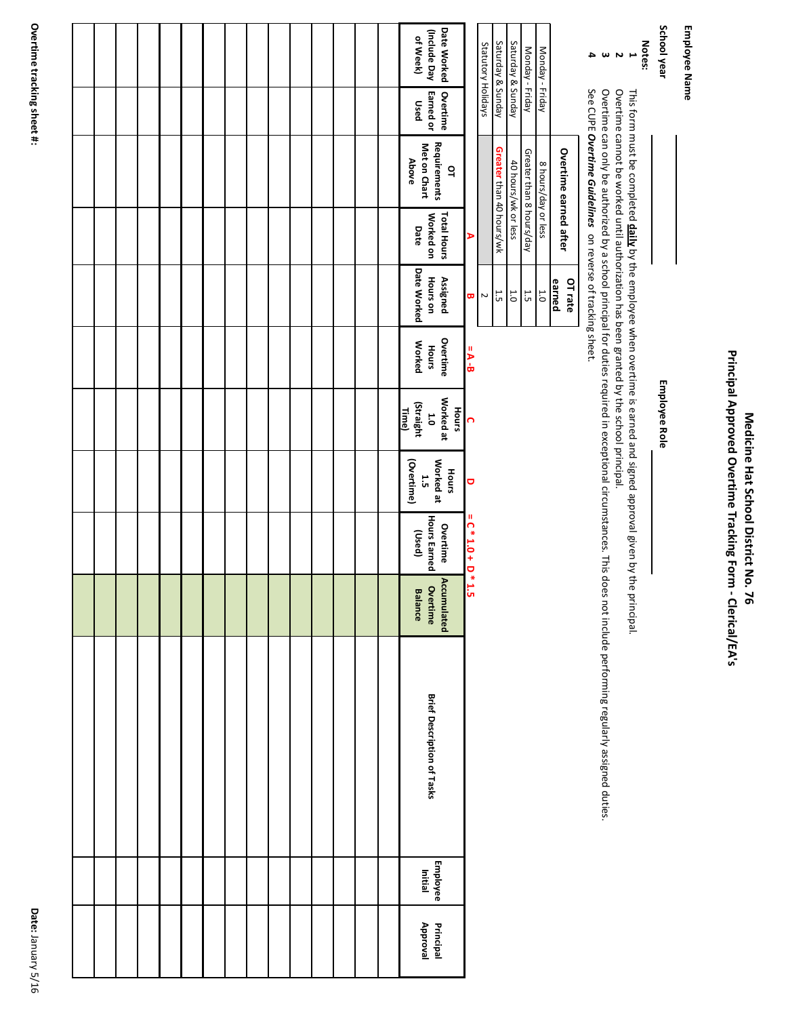Principal Approved Overtime Tracking Form - Clerical/EA's **Principal Approved Overtime Tracking Form - Clerical/EA's**

Employee Name **Employee Name**

**School year**

**Employee Role Employee Role**

**Notes:** This form must be completed by the employee when overtime is earned and signed approval given by the principal.

**1 2 3 4** Overtime cannot be worked until authorization has been granted by the school principal.

This form must be completed <mark>daily</mark> by the employee when overtime is earned and signed approval given by the principal.<br>Overtime cannot be worked until authorization has been granted by the school principal.<br>Overtime can o Overtime can only be authorized by a school principal for duties required in exceptional circumstances. This does not include performing regularly assigned duties.

See CUPE Overtime Guidelines on reverse of tracking sheet. See CUPE *Overtime Guidelines* on reverse of tracking sheet.

|         |                          | Statutory Holidays |
|---------|--------------------------|--------------------|
|         |                          |                    |
| ι<br>Ό  | Greater than 40 hours/wk | Saturday & Sunday  |
|         |                          |                    |
| ن<br>ت  | 40 hours/wk or less      | Saturday & Sunday  |
|         |                          |                    |
| ι<br>:  | Greater than 8 hours/day | Monday - Friday    |
|         |                          |                    |
|         |                          |                    |
| 5<br>C  | 8 hours/day or less      | Monday - Friday    |
| earned  |                          |                    |
|         | Overtime earned after    |                    |
| OT rate |                          |                    |
|         |                          |                    |
|         |                          |                    |

| ľ<br>י                          |
|---------------------------------|
| ı<br>t                          |
| H<br>ſ<br>י<br>×<br>׃<br>۹<br>σ |
| ₩<br>1                          |

|  |  |  |  |  |  |  | Date Worked<br>(Include Day)<br>of Week)  |                     |                       |                         |
|--|--|--|--|--|--|--|-------------------------------------------|---------------------|-----------------------|-------------------------|
|  |  |  |  |  |  |  | Earned or<br>Overtime<br>Used             |                     |                       |                         |
|  |  |  |  |  |  |  | Met on Chart<br>Above                     | Requirements<br>q   |                       |                         |
|  |  |  |  |  |  |  | Worked on<br>Date                         | <b>Total Hours</b>  | $\blacktriangleright$ |                         |
|  |  |  |  |  |  |  | Date Worked                               | Hours on            | Assigned              | $\mathbf{\overline{u}}$ |
|  |  |  |  |  |  |  | <b>Worked</b>                             | Hours               | Overtime              | $= A - B$               |
|  |  |  |  |  |  |  | (Straight<br>Time)                        | 1.0                 | Worked at<br>Hours    | $\overline{\Omega}$     |
|  |  |  |  |  |  |  | Overtime)                                 | Norked at<br>1.5    | Hours                 | $\mathbf{\Theta}$       |
|  |  |  |  |  |  |  | (pasn)                                    | <b>Hours Earned</b> | Overtime              | $= C * 1.0 + D * 1.5$   |
|  |  |  |  |  |  |  | Accumulated<br>Overtime<br><b>Balance</b> |                     |                       |                         |
|  |  |  |  |  |  |  | Brief Description of Tasks                |                     |                       |                         |
|  |  |  |  |  |  |  | Employee<br>Initial                       |                     |                       |                         |
|  |  |  |  |  |  |  | Principal<br>Approval                     |                     |                       |                         |
|  |  |  |  |  |  |  |                                           |                     |                       |                         |